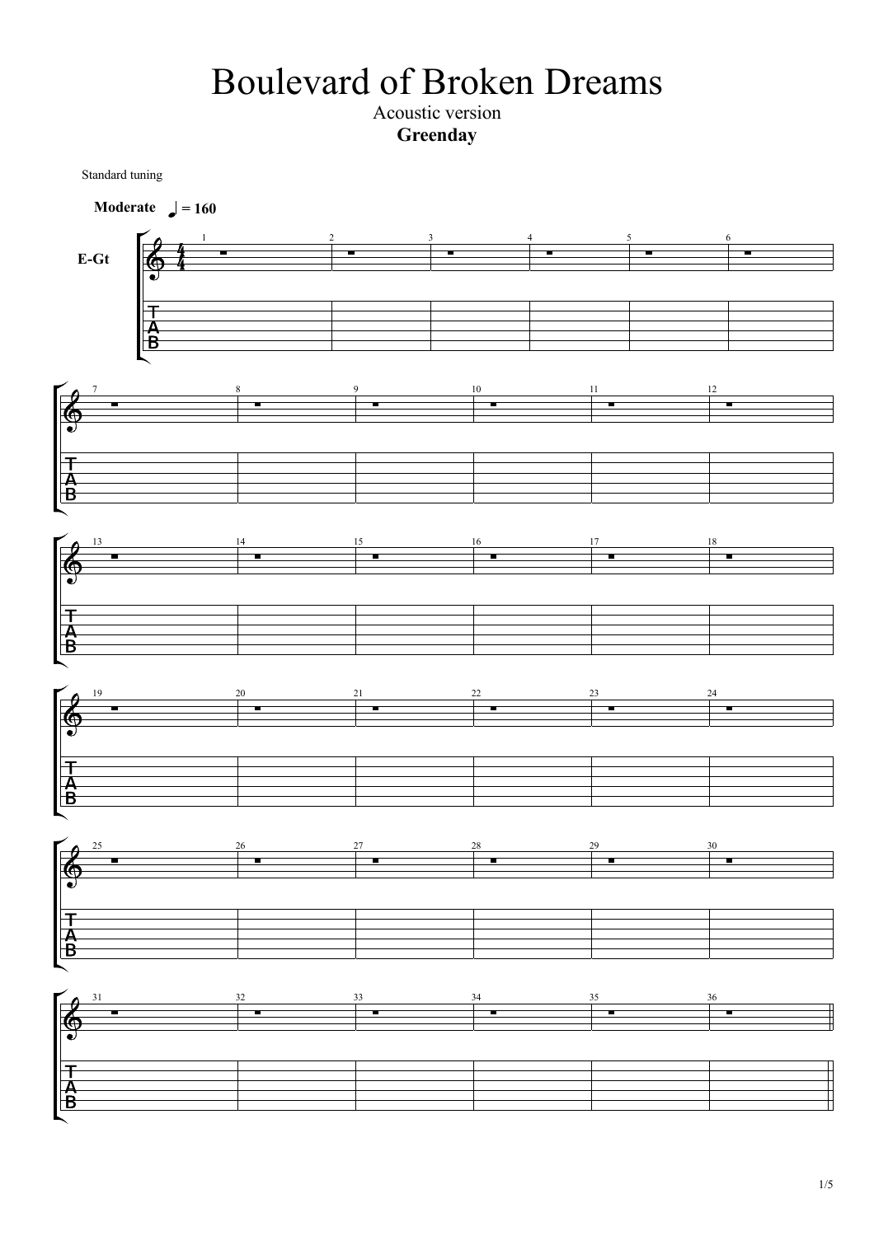## Boulevard of Broken Dreams

Acoustic version **Greenday** 

Standard tuning

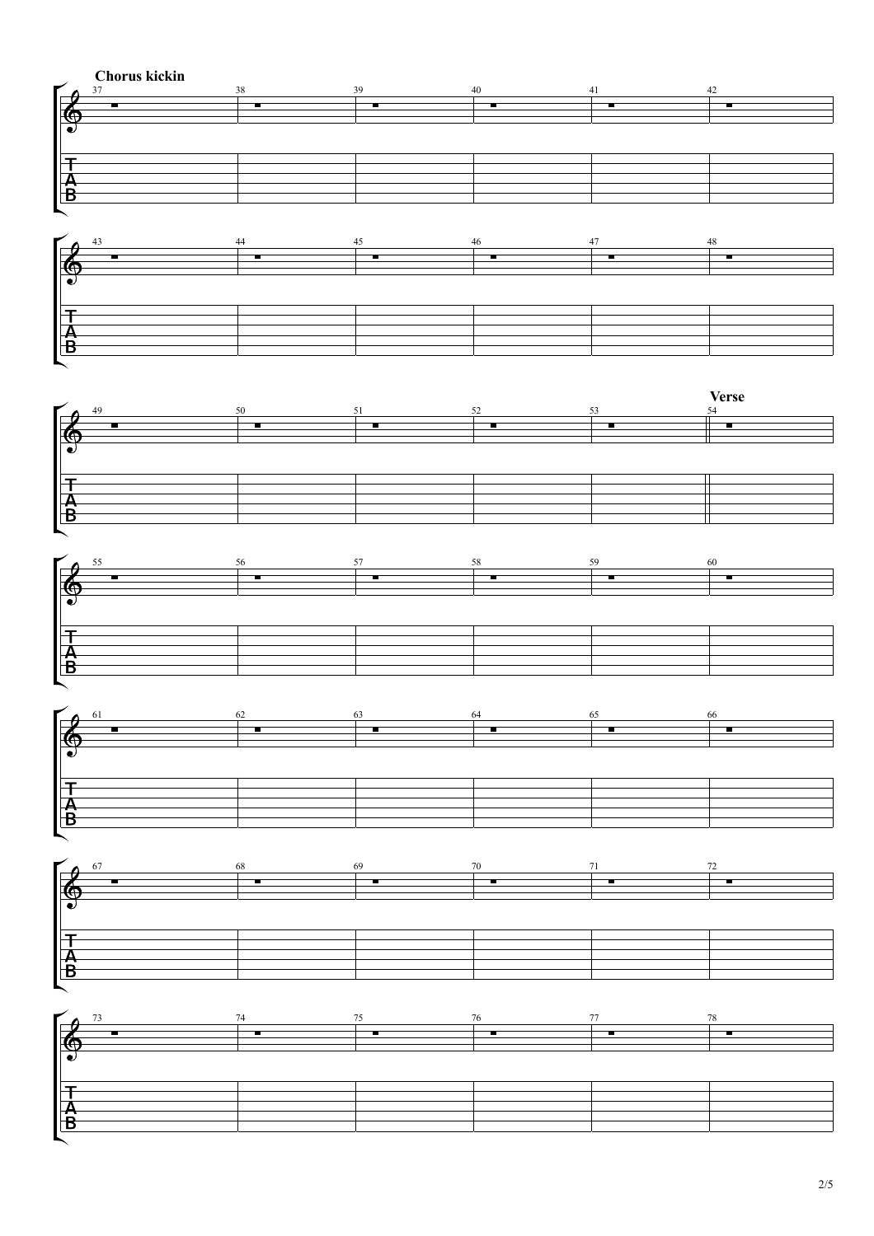|                          | <b>Chorus kickin</b> |                |    |    |    |                                                 |
|--------------------------|----------------------|----------------|----|----|----|-------------------------------------------------|
|                          | 37                   | $\frac{38}{1}$ | 39 | 40 |    |                                                 |
|                          |                      | ш              |    |    |    |                                                 |
|                          |                      |                |    |    |    |                                                 |
|                          |                      |                |    |    |    |                                                 |
|                          |                      |                |    |    |    |                                                 |
|                          |                      |                |    |    |    |                                                 |
|                          |                      |                |    |    |    |                                                 |
|                          |                      |                |    |    |    |                                                 |
| $\sqrt{\frac{1}{B}}$     |                      |                |    |    |    |                                                 |
|                          |                      |                |    |    |    |                                                 |
|                          |                      |                |    |    |    |                                                 |
|                          |                      |                |    |    |    |                                                 |
|                          |                      |                |    |    |    |                                                 |
|                          |                      | ш              | ш  | ш  | ш  |                                                 |
|                          |                      |                |    |    |    |                                                 |
|                          |                      |                |    |    |    |                                                 |
|                          |                      |                |    |    |    |                                                 |
| 干本色                      |                      |                |    |    |    |                                                 |
|                          |                      |                |    |    |    |                                                 |
|                          |                      |                |    |    |    |                                                 |
|                          |                      |                |    |    |    |                                                 |
|                          |                      |                |    |    |    |                                                 |
|                          |                      |                |    |    |    |                                                 |
|                          |                      |                |    |    |    | <b>Verse</b>                                    |
|                          | 49                   | 50             | 51 | 52 | 53 | 54                                              |
|                          |                      | ш              | ш  |    |    | ш                                               |
|                          |                      |                |    |    |    |                                                 |
|                          |                      |                |    |    |    |                                                 |
|                          |                      |                |    |    |    |                                                 |
| H<br>H<br>A<br>B         |                      |                |    |    |    |                                                 |
|                          |                      |                |    |    |    |                                                 |
|                          |                      |                |    |    |    |                                                 |
|                          |                      |                |    |    |    |                                                 |
|                          |                      |                |    |    |    |                                                 |
|                          |                      |                |    |    |    |                                                 |
|                          |                      |                |    |    |    |                                                 |
|                          | 55                   | 56             | 57 | 58 | 59 | 60                                              |
|                          |                      |                | ш  |    |    |                                                 |
| $\frac{1}{2}$            |                      |                |    |    |    |                                                 |
|                          |                      |                |    |    |    |                                                 |
|                          |                      |                |    |    |    |                                                 |
|                          |                      |                |    |    |    |                                                 |
| $\pm 4$                  |                      |                |    |    |    |                                                 |
|                          |                      |                |    |    |    |                                                 |
|                          |                      |                |    |    |    |                                                 |
|                          |                      |                |    |    |    |                                                 |
|                          |                      |                |    |    |    |                                                 |
| $\bigcap_{n=1}^{\infty}$ |                      | 62             | 63 | 64 | 65 | 66                                              |
|                          |                      |                |    |    |    |                                                 |
|                          |                      |                |    |    |    |                                                 |
|                          |                      |                |    |    |    |                                                 |
|                          |                      |                |    |    |    |                                                 |
|                          |                      |                |    |    |    |                                                 |
|                          |                      |                |    |    |    |                                                 |
|                          |                      |                |    |    |    |                                                 |
|                          |                      |                |    |    |    |                                                 |
|                          |                      |                |    |    |    |                                                 |
|                          |                      |                |    |    |    |                                                 |
|                          |                      |                |    |    |    |                                                 |
|                          |                      |                |    |    |    |                                                 |
|                          |                      |                |    |    |    |                                                 |
|                          |                      |                |    |    |    |                                                 |
|                          |                      |                |    |    |    |                                                 |
|                          |                      |                |    |    |    |                                                 |
|                          |                      |                |    |    |    |                                                 |
|                          |                      |                |    |    |    |                                                 |
|                          |                      |                |    |    |    |                                                 |
|                          |                      |                |    |    |    |                                                 |
|                          |                      |                |    |    |    |                                                 |
|                          |                      |                |    |    |    |                                                 |
|                          |                      |                |    |    |    |                                                 |
|                          |                      |                |    |    |    |                                                 |
|                          |                      |                |    |    |    |                                                 |
|                          |                      |                |    |    |    |                                                 |
|                          |                      |                |    |    |    | $\begin{array}{c c}\n78 \\ \hline\n\end{array}$ |
|                          |                      |                |    |    |    |                                                 |
|                          |                      |                |    |    |    |                                                 |
|                          |                      |                |    |    |    |                                                 |
|                          |                      |                |    |    |    |                                                 |
|                          |                      |                |    |    |    |                                                 |
|                          |                      |                |    |    |    |                                                 |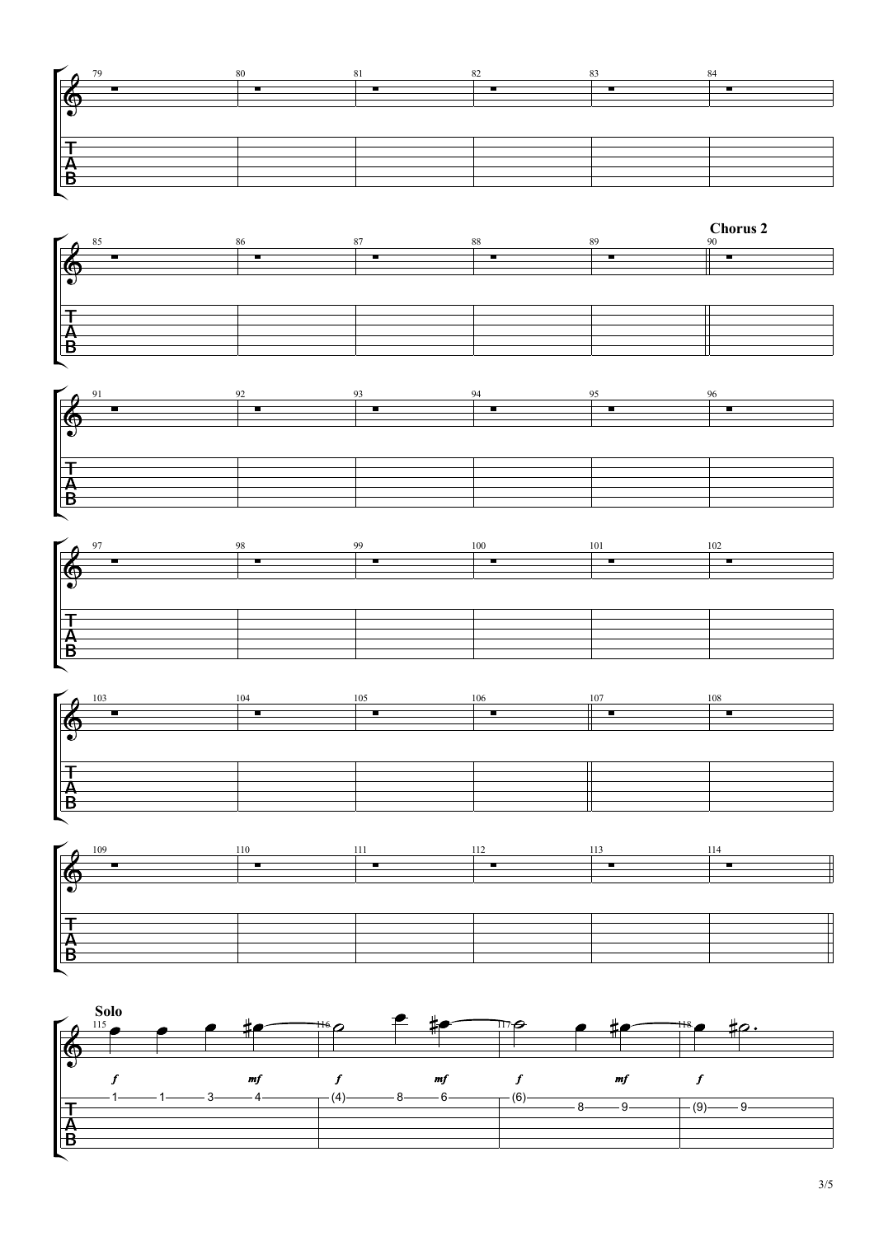|                 |                                                            | $\begin{array}{c c}\n 82 \\  \hline\n \end{array}$         | $\frac{83}{1}$<br>$\blacksquare$                                                                                                                             | $\blacksquare$                                                                                                                                                                             |
|-----------------|------------------------------------------------------------|------------------------------------------------------------|--------------------------------------------------------------------------------------------------------------------------------------------------------------|--------------------------------------------------------------------------------------------------------------------------------------------------------------------------------------------|
|                 |                                                            |                                                            |                                                                                                                                                              |                                                                                                                                                                                            |
|                 |                                                            |                                                            |                                                                                                                                                              |                                                                                                                                                                                            |
|                 |                                                            |                                                            |                                                                                                                                                              |                                                                                                                                                                                            |
|                 |                                                            |                                                            |                                                                                                                                                              |                                                                                                                                                                                            |
|                 |                                                            |                                                            |                                                                                                                                                              |                                                                                                                                                                                            |
|                 |                                                            |                                                            |                                                                                                                                                              |                                                                                                                                                                                            |
|                 |                                                            |                                                            |                                                                                                                                                              |                                                                                                                                                                                            |
|                 |                                                            |                                                            |                                                                                                                                                              |                                                                                                                                                                                            |
|                 |                                                            |                                                            |                                                                                                                                                              |                                                                                                                                                                                            |
|                 |                                                            |                                                            |                                                                                                                                                              |                                                                                                                                                                                            |
|                 |                                                            |                                                            |                                                                                                                                                              |                                                                                                                                                                                            |
|                 |                                                            |                                                            |                                                                                                                                                              | <b>Chorus 2</b>                                                                                                                                                                            |
|                 |                                                            |                                                            |                                                                                                                                                              | $90\,$                                                                                                                                                                                     |
|                 |                                                            |                                                            |                                                                                                                                                              |                                                                                                                                                                                            |
|                 |                                                            |                                                            |                                                                                                                                                              | $\blacksquare$                                                                                                                                                                             |
|                 |                                                            |                                                            |                                                                                                                                                              |                                                                                                                                                                                            |
|                 |                                                            |                                                            |                                                                                                                                                              |                                                                                                                                                                                            |
|                 |                                                            |                                                            |                                                                                                                                                              |                                                                                                                                                                                            |
|                 |                                                            |                                                            |                                                                                                                                                              |                                                                                                                                                                                            |
|                 |                                                            |                                                            |                                                                                                                                                              |                                                                                                                                                                                            |
|                 |                                                            |                                                            |                                                                                                                                                              |                                                                                                                                                                                            |
|                 |                                                            |                                                            |                                                                                                                                                              |                                                                                                                                                                                            |
|                 |                                                            |                                                            |                                                                                                                                                              |                                                                                                                                                                                            |
|                 |                                                            |                                                            |                                                                                                                                                              |                                                                                                                                                                                            |
|                 |                                                            |                                                            |                                                                                                                                                              |                                                                                                                                                                                            |
|                 |                                                            |                                                            |                                                                                                                                                              |                                                                                                                                                                                            |
|                 |                                                            |                                                            |                                                                                                                                                              | $\frac{96}{\Box}$                                                                                                                                                                          |
|                 |                                                            |                                                            |                                                                                                                                                              |                                                                                                                                                                                            |
|                 |                                                            |                                                            |                                                                                                                                                              |                                                                                                                                                                                            |
|                 |                                                            |                                                            |                                                                                                                                                              |                                                                                                                                                                                            |
|                 |                                                            |                                                            |                                                                                                                                                              |                                                                                                                                                                                            |
|                 |                                                            |                                                            |                                                                                                                                                              |                                                                                                                                                                                            |
|                 |                                                            |                                                            |                                                                                                                                                              |                                                                                                                                                                                            |
|                 |                                                            |                                                            |                                                                                                                                                              |                                                                                                                                                                                            |
|                 |                                                            |                                                            |                                                                                                                                                              |                                                                                                                                                                                            |
|                 |                                                            |                                                            |                                                                                                                                                              |                                                                                                                                                                                            |
|                 |                                                            |                                                            |                                                                                                                                                              |                                                                                                                                                                                            |
|                 |                                                            |                                                            |                                                                                                                                                              |                                                                                                                                                                                            |
|                 |                                                            |                                                            |                                                                                                                                                              |                                                                                                                                                                                            |
|                 |                                                            |                                                            |                                                                                                                                                              |                                                                                                                                                                                            |
|                 |                                                            |                                                            |                                                                                                                                                              | 102                                                                                                                                                                                        |
|                 |                                                            |                                                            |                                                                                                                                                              | $\mathrel{\mathop{\longleftarrow}}_{\rule{0pt}{2ex}\mathrel{}}$                                                                                                                            |
|                 |                                                            |                                                            |                                                                                                                                                              |                                                                                                                                                                                            |
|                 |                                                            |                                                            |                                                                                                                                                              |                                                                                                                                                                                            |
|                 |                                                            |                                                            |                                                                                                                                                              |                                                                                                                                                                                            |
|                 |                                                            |                                                            |                                                                                                                                                              |                                                                                                                                                                                            |
|                 |                                                            |                                                            |                                                                                                                                                              |                                                                                                                                                                                            |
|                 |                                                            |                                                            |                                                                                                                                                              |                                                                                                                                                                                            |
|                 |                                                            |                                                            |                                                                                                                                                              |                                                                                                                                                                                            |
|                 |                                                            |                                                            |                                                                                                                                                              |                                                                                                                                                                                            |
|                 |                                                            |                                                            |                                                                                                                                                              |                                                                                                                                                                                            |
|                 |                                                            |                                                            |                                                                                                                                                              |                                                                                                                                                                                            |
|                 |                                                            |                                                            |                                                                                                                                                              |                                                                                                                                                                                            |
|                 |                                                            |                                                            |                                                                                                                                                              |                                                                                                                                                                                            |
|                 |                                                            |                                                            |                                                                                                                                                              |                                                                                                                                                                                            |
|                 |                                                            |                                                            |                                                                                                                                                              |                                                                                                                                                                                            |
|                 |                                                            |                                                            |                                                                                                                                                              |                                                                                                                                                                                            |
|                 |                                                            |                                                            |                                                                                                                                                              |                                                                                                                                                                                            |
|                 |                                                            |                                                            |                                                                                                                                                              |                                                                                                                                                                                            |
|                 |                                                            |                                                            |                                                                                                                                                              |                                                                                                                                                                                            |
|                 |                                                            |                                                            |                                                                                                                                                              |                                                                                                                                                                                            |
|                 |                                                            |                                                            |                                                                                                                                                              |                                                                                                                                                                                            |
|                 |                                                            |                                                            |                                                                                                                                                              |                                                                                                                                                                                            |
|                 |                                                            |                                                            |                                                                                                                                                              |                                                                                                                                                                                            |
|                 |                                                            |                                                            |                                                                                                                                                              |                                                                                                                                                                                            |
|                 |                                                            |                                                            |                                                                                                                                                              |                                                                                                                                                                                            |
|                 |                                                            |                                                            |                                                                                                                                                              |                                                                                                                                                                                            |
|                 |                                                            |                                                            |                                                                                                                                                              |                                                                                                                                                                                            |
|                 |                                                            | 112                                                        | 113                                                                                                                                                          | 114                                                                                                                                                                                        |
| $\frac{110}{1}$ | $\frac{111}{1}$                                            |                                                            |                                                                                                                                                              |                                                                                                                                                                                            |
|                 |                                                            |                                                            |                                                                                                                                                              |                                                                                                                                                                                            |
|                 |                                                            |                                                            |                                                                                                                                                              |                                                                                                                                                                                            |
|                 |                                                            |                                                            |                                                                                                                                                              |                                                                                                                                                                                            |
|                 |                                                            |                                                            |                                                                                                                                                              |                                                                                                                                                                                            |
|                 |                                                            |                                                            |                                                                                                                                                              |                                                                                                                                                                                            |
|                 |                                                            |                                                            |                                                                                                                                                              |                                                                                                                                                                                            |
|                 |                                                            |                                                            |                                                                                                                                                              |                                                                                                                                                                                            |
|                 |                                                            |                                                            |                                                                                                                                                              |                                                                                                                                                                                            |
|                 |                                                            |                                                            |                                                                                                                                                              |                                                                                                                                                                                            |
|                 | $\begin{array}{c c}\n & 98 \\  \hline\n & 0\n \end{array}$ | $\begin{array}{c c}\n & 99 \\  \hline\n & 1\n \end{array}$ | $\begin{array}{ c c c c c }\n\hline\n\text{91} & \text{92} & \text{93} & \text{94} \\ \hline\n\end{array}$<br>$\begin{array}{c}\n100 \\ \hline\n\end{array}$ | $\begin{array}{ c c c c c }\hline \text{85} & \text{86} & \text{87} & \text{88} & \text{89} \ \hline \end{array}$<br>$\frac{95}{\Box}$<br>$\begin{tabular}{c} 101 \\ \hline \end{tabular}$ |

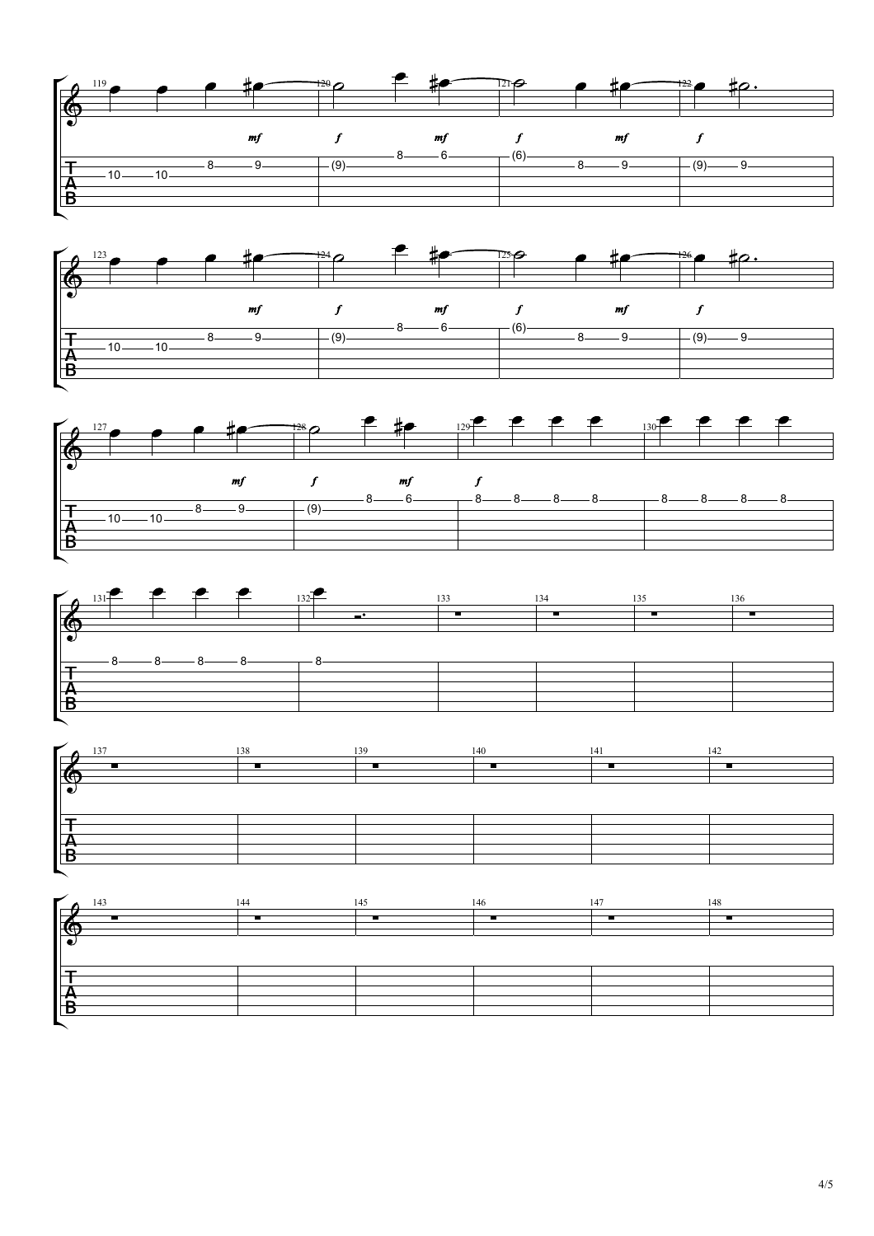







| $\overline{ }$          | 38 | 139 | 140 | 141 | 142 |
|-------------------------|----|-----|-----|-----|-----|
|                         |    |     |     |     |     |
| $\mathbf{\overline{6}}$ |    |     |     |     |     |
|                         |    |     |     |     |     |
|                         |    |     |     |     |     |
|                         |    |     |     |     |     |
|                         |    |     |     |     |     |
| ᄇ                       |    |     |     |     |     |
|                         |    |     |     |     |     |
| £                       |    |     |     |     |     |
| Ð                       |    |     |     |     |     |
| с                       |    |     |     |     |     |
|                         |    |     |     |     |     |

| ∽<br>143 | 144 | 145               | 146 | 147 | 148 |  |
|----------|-----|-------------------|-----|-----|-----|--|
| $\Phi$   |     | <b>STATISTICS</b> |     |     |     |  |
|          |     |                   |     |     |     |  |
|          |     |                   |     |     |     |  |
| ᄓ        |     |                   |     |     |     |  |
|          |     |                   |     |     |     |  |
| ⊢₽<br>Ð  |     |                   |     |     |     |  |
| с        |     |                   |     |     |     |  |